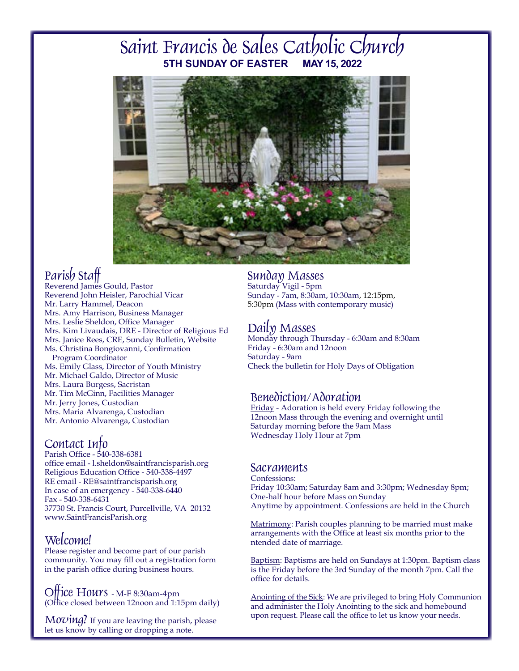# Saint Francis de Sales Catholic Church **5TH SUNDAY OF EASTER**



# Parish Staff

Reverend James Gould, Pastor Reverend John Heisler, Parochial Vicar Mr. Larry Hammel, Deacon Mrs. Amy Harrison, Business Manager Mrs. Leslie Sheldon, Office Manager Mrs. Kim Livaudais, DRE - Director of Religious Ed Mrs. Janice Rees, CRE, Sunday Bulletin, Website Ms. Christina Bongiovanni, Confirmation Program Coordinator Ms. Emily Glass, Director of Youth Ministry Mr. Michael Galdo, Director of Music Mrs. Laura Burgess, Sacristan Mr. Tim McGinn, Facilities Manager Mr. Jerry Jones, Custodian Mrs. Maria Alvarenga, Custodian Mr. Antonio Alvarenga, Custodian

# Contact Info

Parish Office - 540-338-6381 office email - l.sheldon@saintfrancisparish.org Religious Education Office - 540-338-4497 RE email - RE@saintfrancisparish.org In case of an emergency  $-540-338-6440$ Fax - 540-338-6431 37730 St. Francis Court, Purcellville, VA 20132 www.SaintFrancisParish.org

# Welcome!

Please register and become part of our parish community. You may fill out a registration form in the parish office during business hours.

Office Hours - M-F 8:30am-4pm (Office closed between 12noon and 1:15pm daily)

 $Moving?$  If you are leaving the parish, please let us know by calling or dropping a note.

### Sunday Masses

Saturday Vigil - 5pm Sunday - 7am, 8:30am, 10:30am, 12:15pm, 5:30pm (Mass with contemporary music)

Daily MassesMonday through Thursday - 6:30am and 8:30am Friday - 6:30am and 12noon Saturday - 9am Check the bulletin for Holy Days of Obligation

### Benediction/Adoration

Friday - Adoration is held every Friday following the 12noon Mass through the evening and overnight until Saturday morning before the 9am Mass Wednesday Holy Hour at 7pm

### **Sacraments**

#### Confessions:

Friday 10:30am; Saturday 8am and 3:30pm; Wednesday 8pm; One-half hour before Mass on Sunday Anytime by appointment. Confessions are held in the Church

Matrimony: Parish couples planning to be married must make arrangements with the Office at least six months prior to the ntended date of marriage.

Baptism: Baptisms are held on Sundays at 1:30pm. Baptism class is the Friday before the 3rd Sunday of the month 7pm. Call the office for details.

Anointing of the Sick: We are privileged to bring Holy Communion and administer the Holy Anointing to the sick and homebound upon request. Please call the office to let us know your needs.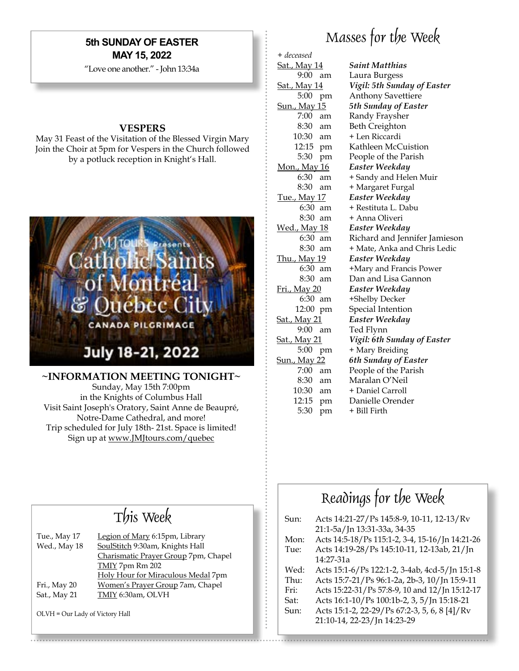### **5th SUNDAY OF EASTER MAY 15, 2022**

"Love one another." - John 13:34a

#### **VESPERS**

May 31 Feast of the Visitation of the Blessed Virgin Mary Join the Choir at 5pm for Vespers in the Church followed by a potluck reception in Knight's Hall.



**~INFORMATION MEETING TONIGHT~** 

Sunday, May 15th 7:00pm in the Knights of Columbus Hall Visit Saint Joseph's Oratory, Saint Anne de Beaupré, Notre-Dame Cathedral, and more! Trip scheduled for July 18th- 21st. Space is limited! Sign up at www.JMJtours.com/quebec

# Masses for the Week

+ *deceased*

Sat., May 14 *Saint Matthias* 9:00 am Laura Burgess Sat., May 14 *Vigil: 5th Sunday of Easter* 5:00 pm Anthony Savettiere Sun., May 15 *5th Sunday of Easter* 7:00 am Randy Fraysher 8:30 am Beth Creighton 10:30 am + Len Riccardi 12:15 pm Kathleen McCuistion 5:30 pm People of the Parish Mon., May 16 *Easter Weekday* 6:30 am + Sandy and Helen Muir 8:30 am + Margaret Furgal Tue., May 17 *Easter Weekday* 6:30 am + Restituta L. Dabu 8:30 am + Anna Oliveri Wed., May 18 *Easter Weekday* 6:30 am Richard and Jennifer Jamieson 8:30 am + Mate, Anka and Chris Ledic Thu., May 19 *Easter Weekday* 6:30 am +Mary and Francis Power 8:30 am Dan and Lisa Gannon Fri., May 20 *Easter Weekday* 6:30 am +Shelby Decker 12:00 pm Special Intention Sat., May 21 *Easter Weekday* 9:00 am Ted Flynn Sat., May 21 *Vigil: 6th Sunday of Easter* 5:00 pm + Mary Breiding Sun., May 22 *6th Sunday of Easter* 7:00 am People of the Parish 8:30 am Maralan O'Neil 10:30 am + Daniel Carroll 12:15 pm Danielle Orender  $5:30$  pm  $+$  Bill Firth

# This Week

| Tue., May 17 | Legion of Mary 6:15pm, Library       |
|--------------|--------------------------------------|
| Wed., May 18 | SoulStitch 9:30am, Knights Hall      |
|              | Charismatic Prayer Group 7pm, Chapel |
|              | TMIY 7pm Rm 202                      |
|              | Holy Hour for Miraculous Medal 7pm   |
| Fri., May 20 | Women's Prayer Group 7am, Chapel     |
| Sat., May 21 | TMIY 6:30am, OLVH                    |
|              |                                      |

OLVH = Our Lady of Victory Hall

# Readings for the Week

| Sun: | Acts 14:21-27/Ps 145:8-9, 10-11, 12-13/Rv       |
|------|-------------------------------------------------|
|      | 21:1-5a/Jn 13:31-33a, 34-35                     |
| Mon: | Acts 14:5-18/Ps 115:1-2, 3-4, 15-16/Jn 14:21-26 |
| Tue: | Acts 14:19-28/Ps 145:10-11, 12-13ab, 21/Jn      |
|      | 14:27-31a                                       |
| Wed: | Acts 15:1-6/Ps 122:1-2, 3-4ab, 4cd-5/Jn 15:1-8  |
| Thu: | Acts 15:7-21/Ps 96:1-2a, 2b-3, 10/Jn 15:9-11    |
| Fri: | Acts 15:22-31/Ps 57:8-9, 10 and 12/Jn 15:12-17  |
| Sat: | Acts 16:1-10/Ps 100:1b-2, 3, 5/Jn 15:18-21      |
| Sun: | Acts 15:1-2, 22-29/Ps 67:2-3, 5, 6, 8 [4]/Rv    |
|      | 21:10-14, 22-23/Jn 14:23-29                     |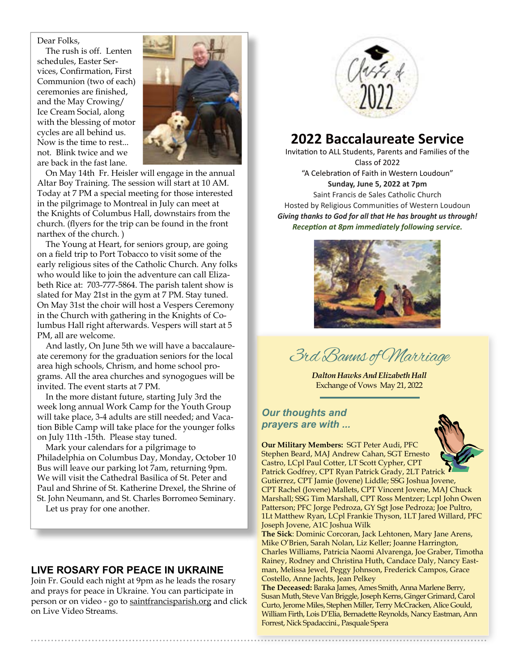#### Dear Folks,

 vices, Confirmation, First The rush is off. Lenten schedules, Easter Ser-Communion (two of each) ceremonies are finished, and the May Crowing/ Ice Cream Social, along with the blessing of motor cycles are all behind us. Now is the time to rest... not. Blink twice and we are back in the fast lane.



On May 14th Fr. Heisler will engage in the annual Altar Boy Training. The session will start at 10 AM. Today at 7 PM a special meeting for those interested in the pilgrimage to Montreal in July can meet at the Knights of Columbus Hall, downstairs from the church. (flyers for the trip can be found in the front narthex of the church. )

The Young at Heart, for seniors group, are going on a field trip to Port Tobacco to visit some of the early religious sites of the Catholic Church. Any folks who would like to join the adventure can call Elizabeth Rice at: 703-777-5864. The parish talent show is slated for May 21st in the gym at 7 PM. Stay tuned. On May 31st the choir will host a Vespers Ceremony in the Church with gathering in the Knights of Columbus Hall right afterwards. Vespers will start at 5 PM, all are welcome.

And lastly, On June 5th we will have a baccalaureate ceremony for the graduation seniors for the local area high schools, Chrism, and home school programs. All the area churches and synogogues will be invited. The event starts at 7 PM.

In the more distant future, starting July 3rd the week long annual Work Camp for the Youth Group will take place, 3-4 adults are still needed; and Vacation Bible Camp will take place for the younger folks on July 11th -15th. Please stay tuned.

Mark your calendars for a pilgrimage to Philadelphia on Columbus Day, Monday, October 10 Bus will leave our parking lot 7am, returning 9pm. We will visit the Cathedral Basilica of St. Peter and Paul and Shrine of St. Katherine Drexel, the Shrine of St. John Neumann, and St. Charles Borromeo Seminary.

Let us pray for one another.

### **LIVE ROSARY FOR PEACE IN UKRAINE**

Join Fr. Gould each night at 9pm as he leads the rosary and prays for peace in Ukraine. You can participate in person or on video - go to saintfrancisparish.org and click on Live Video Streams.



# **2022 Baccalaureate Service**

Invitation to ALL Students, Parents and Families of the Class of 2022 "A Celebration of Faith in Western Loudoun" **Sunday, June 5, 2022 at 7pm** Saint Francis de Sales Catholic Church Hosted by Religious Communities of Western Loudoun *Giving thanks to God for all that He has brought us through! Reception at 8pm immediately following service.*



3rd Banns of Marriage

*Dalton Hawks And Elizabeth Hall* Exchange of Vows May 21, 2022

#### *Our thoughts and prayers are with ...*



**Our Military Members:** SGT Peter Audi, PFC Stephen Beard, MAJ Andrew Cahan, SGT Ernesto Castro, LCpl Paul Cotter, LT Scott Cypher, CPT Patrick Godfrey, CPT Ryan Patrick Grady, 2LT Patrick Gutierrez, CPT Jamie (Jovene) Liddle; SSG Joshua Jovene, CPT Rachel (Jovene) Mallets, CPT Vincent Jovene, MAJ Chuck Marshall; SSG Tim Marshall, CPT Ross Mentzer; Lcpl John Owen Patterson; PFC Jorge Pedroza, GY Sgt Jose Pedroza; Joe Pultro, 1Lt Matthew Ryan, LCpl Frankie Thyson, 1LT Jared Willard, PFC Joseph Jovene, A1C Joshua Wilk

**The Sick**: Dominic Corcoran, Jack Lehtonen, Mary Jane Arens, Mike O'Brien, Sarah Nolan, Liz Keller; Joanne Harrington, Charles Williams, Patricia Naomi Alvarenga, Joe Graber, Timotha Rainey, Rodney and Christina Huth, Candace Daly, Nancy Eastman, Melissa Jewel, Peggy Johnson, Frederick Campos, Grace Costello, Anne Jachts, Jean Pelkey

**The Deceased:** Baraka James, Ames Smith, Anna Marlene Berry, Susan Muth, Steve Van Briggle, Joseph Kerns, Ginger Grimard, Carol Curto, Jerome Miles, Stephen Miller, Terry McCracken, Alice Gould, William Firth, Lois D'Elia, Bernadette Reynolds, Nancy Eastman, Ann Forrest, Nick Spadaccini., Pasquale Spera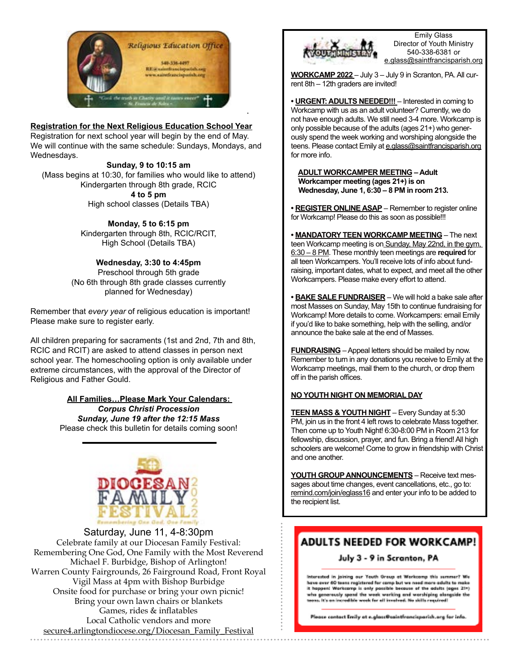

#### **Registration for the Next Religious Education School Year**

Registration for next school year will begin by the end of May. We will continue with the same schedule: Sundays, Mondays, and Wednesdays.

**Sunday, 9 to 10:15 am** 

(Mass begins at 10:30, for families who would like to attend) Kindergarten through 8th grade, RCIC **4 to 5 pm** 

High school classes (Details TBA)

**Monday, 5 to 6:15 pm** Kindergarten through 8th, RCIC/RCIT, High School (Details TBA)

**Wednesday, 3:30 to 4:45pm**  Preschool through 5th grade (No 6th through 8th grade classes currently planned for Wednesday)

Remember that *every year* of religious education is important! Please make sure to register early.

All children preparing for sacraments (1st and 2nd, 7th and 8th, RCIC and RCIT) are asked to attend classes in person next school year. The homeschooling option is only available under extreme circumstances, with the approval of the Director of Religious and Father Gould.

> **All Families…Please Mark Your Calendars:**  *Corpus Christi Procession Sunday, June 19 after the 12:15 Mass*  Please check this bulletin for details coming soon!



Saturday, June 11, 4-8:30pm Celebrate family at our Diocesan Family Festival: Remembering One God, One Family with the Most Reverend Michael F. Burbidge, Bishop of Arlington! Warren County Fairgrounds, 26 Fairground Road, Front Royal Vigil Mass at 4pm with Bishop Burbidge Onsite food for purchase or bring your own picnic! Bring your own lawn chairs or blankets Games, rides & inflatables Local Catholic vendors and more secure4.arlingtondiocese.org/Diocesan\_Family\_Festival



Emily Glass Director of Youth Ministry 540-338-6381 or e.glass@saintfrancisparish.org

**WORKCAMP 2022** – July 3 – July 9 in Scranton, PA. All current 8th – 12th graders are invited!

**• URGENT: ADULTS NEEDED!!!** – Interested in coming to Workcamp with us as an adult volunteer? Currently, we do not have enough adults. We still need 3-4 more. Workcamp is only possible because of the adults (ages 21+) who generously spend the week working and worshiping alongside the teens. Please contact Emily at e.glass@saintfrancisparish.org for more info.

**ADULT WORKCAMPER MEETING – Adult Workcamper meeting (ages 21+) is on Wednesday, June 1, 6:30 – 8 PM in room 213.**

**• REGISTER ONLINE ASAP** – Remember to register online for Workcamp! Please do this as soon as possible!!!

**• MANDATORY TEEN WORKCAMP MEETING** – The next teen Workcamp meeting is on Sunday, May 22nd, in the gym, 6:30 – 8 PM. These monthly teen meetings are **required** for all teen Workcampers. You'll receive lots of info about fundraising, important dates, what to expect, and meet all the other Workcampers. Please make every effort to attend.

**• BAKE SALE FUNDRAISER** – We will hold a bake sale after most Masses on Sunday, May 15th to continue fundraising for Workcamp! More details to come. Workcampers: email Emily if you'd like to bake something, help with the selling, and/or announce the bake sale at the end of Masses.

**FUNDRAISING** – Appeal letters should be mailed by now. Remember to turn in any donations you receive to Emily at the Workcamp meetings, mail them to the church, or drop them off in the parish offices.

#### **NO YOUTH NIGHT ON MEMORIAL DAY**

**TEEN MASS & YOUTH NIGHT** – Every Sunday at 5:30 PM, join us in the front 4 left rows to celebrate Mass together. Then come up to Youth Night! 6:30-8:00 PM in Room 213 for fellowship, discussion, prayer, and fun. Bring a friend! All high schoolers are welcome! Come to grow in friendship with Christ and one another.

**YOUTH GROUP ANNOUNCEMENTS** – Receive text messages about time changes, event cancellations, etc., go to: remind.com/join/eglass16 and enter your info to be added to the recipient list.

### **ADULTS NEEDED FOR WORKCAMP!**

#### July 3 - 9 in Scranton, PA

Interested in joining our Youth Group at Workcomp this semmen? We have over 60 teens registered for camp but we need more adults to make<br>it hoppen! Worksamp is only possible because of the adults (ages 21+) who generously spend the week working and worshiping alongside the<br>teens. It's an incredible week for all involved. No skills required!

Please contact Emily at e.glass@saintfrancisparish.org for info.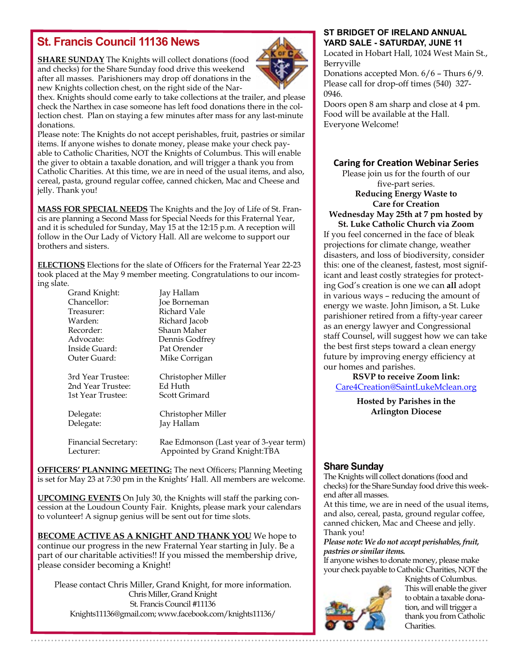## **St. Francis Council 11136 News**

**SHARE SUNDAY** The Knights will collect donations (food and checks) for the Share Sunday food drive this weekend after all masses. Parishioners may drop off donations in the new Knights collection chest, on the right side of the Nar-



thex. Knights should come early to take collections at the trailer, and please check the Narthex in case someone has left food donations there in the collection chest. Plan on staying a few minutes after mass for any last-minute donations.

Please note: The Knights do not accept perishables, fruit, pastries or similar items. If anyone wishes to donate money, please make your check payable to Catholic Charities, NOT the Knights of Columbus. This will enable the giver to obtain a taxable donation, and will trigger a thank you from Catholic Charities. At this time, we are in need of the usual items, and also, cereal, pasta, ground regular coffee, canned chicken, Mac and Cheese and jelly. Thank you!

**MASS FOR SPECIAL NEEDS** The Knights and the Joy of Life of St. Francis are planning a Second Mass for Special Needs for this Fraternal Year, and it is scheduled for Sunday, May 15 at the 12:15 p.m. A reception will follow in the Our Lady of Victory Hall. All are welcome to support our brothers and sisters.

**ELECTIONS** Elections for the slate of Officers for the Fraternal Year 22-23 took placed at the May 9 member meeting. Congratulations to our incoming slate.

> Jay Hallam **Joe Borneman** Richard Vale Richard Jacob Shaun Maher Dennis Godfrey Pat Orender

| Grand Knight:    |
|------------------|
| Chancellor:      |
| Treasurer:       |
| Warden:          |
| Recorder:        |
| Advocate:        |
| Inside Guard:    |
| Outer Guard:     |
|                  |
| 2nd Voor Trustoo |

Mike Corrigan 3rd Year Trustee: Christopher Miller 2nd Year Trustee: Ed Huth 1st Year Trustee: Scott Grimard

Delegate: Christopher Miller Delegate: Jay Hallam

Financial Secretary: Rae Edmonson (Last year of 3-year term) Lecturer: Appointed by Grand Knight:TBA

**OFFICERS' PLANNING MEETING:** The next Officers; Planning Meeting is set for May 23 at 7:30 pm in the Knights' Hall. All members are welcome.

**UPCOMING EVENTS** On July 30, the Knights will staff the parking concession at the Loudoun County Fair. Knights, please mark your calendars to volunteer! A signup genius will be sent out for time slots.

**BECOME ACTIVE AS A KNIGHT AND THANK YOU** We hope to continue our progress in the new Fraternal Year starting in July. Be a part of our charitable activities!! If you missed the membership drive, please consider becoming a Knight!

Please contact Chris Miller, Grand Knight, for more information. Chris Miller, Grand Knight St. Francis Council #11136 Knights11136@gmail.com; www.facebook.com/knights11136/

#### **ST BRIDGET OF IRELAND ANNUAL YARD SALE - SATURDAY, JUNE 11**

Located in Hobart Hall, 1024 West Main St., Berryville

Donations accepted Mon. 6/6 – Thurs 6/9. Please call for drop-off times (540) 327- 0946.

Doors open 8 am sharp and close at 4 pm. Food will be available at the Hall. Everyone Welcome!

#### **Caring for Creation Webinar Series**

Please join us for the fourth of our five-part series. **Reducing Energy Waste to Care for Creation**

**Wednesday May 25th at 7 pm hosted by St. Luke Catholic Church via Zoom**

If you feel concerned in the face of bleak projections for climate change, weather disasters, and loss of biodiversity, consider this: one of the cleanest, fastest, most significant and least costly strategies for protecting God's creation is one we can **all** adopt in various ways – reducing the amount of energy we waste. John Jimison, a St. Luke parishioner retired from a fifty-year career as an energy lawyer and Congressional staff Counsel, will suggest how we can take the best first steps toward a clean energy future by improving energy efficiency at our homes and parishes.

**RSVP to receive Zoom link:** [Care4Creation@SaintLukeMclean.org](mailto:Care4Creation@SaintLukeMclean.org)

> **Hosted by Parishes in the Arlington Diocese**

#### **Share Sunday**

The Knights will collect donations (food and checks) for the Share Sunday food drive this weekend after all masses.

At this time, we are in need of the usual items, and also, cereal, pasta, ground regular coffee, canned chicken, Mac and Cheese and jelly. Thank you!

*Please note: We do not accept perishables, fruit, pastries or similar items.*

If anyone wishes to donate money, please make your check payable to Catholic Charities, NOT the



Knights of Columbus. This will enable the giver to obtain a taxable donation, and will trigger a thank you from Catholic Charities.

. . . . . . . . . . . . . . . . . . . .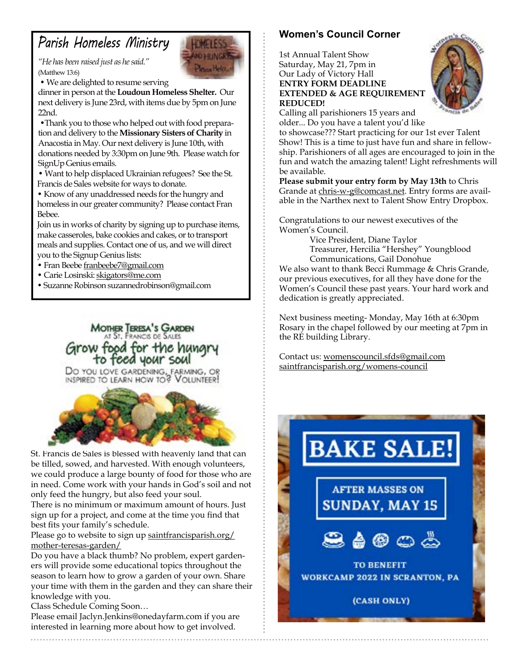# *Parish Homeless Ministry*

*"He has been raised just as he said."*  (Matthew 13:6)

• We are delighted to resume serving

dinner in person at the **Loudoun Homeless Shelter.** Our next delivery is June 23rd, with items due by 5pm on June 22nd.

 •Thank you to those who helped out with food preparation and delivery to the **Missionary Sisters of Charity** in Anacostia in May. Our next delivery is June 10th, with donations needed by 3:30pm on June 9th. Please watch for SignUp Genius emails.

• Want to help displaced Ukrainian refugees? See the St. Francis de Sales website for ways to donate.

• Know of any unaddressed needs for the hungry and homeless in our greater community? Please contact Fran Bebee.

Join us in works of charity by signing up to purchase items, make casseroles, bake cookies and cakes, or to transport meals and supplies. Contact one of us, and we will direct you to the Signup Genius lists:

• Fran Beebe franbeebe7@gmail.com

- Carie Losinski: skigators@me.com
- Suzanne Robinson suzannedrobinson@gmail.com

**MOTHER TERESA'S GARDEN** AT ST. FRANCIS DE SALES Grow food for the hungr to feed your soul

DO YOU LOVE GARDENING, FARMING, OR<br>INSPIRED TO LEARN HOW TO? VOLUNTEER!



St. Francis de Sales is blessed with heavenly land that can be tilled, sowed, and harvested. With enough volunteers, we could produce a large bounty of food for those who are in need. Come work with your hands in God's soil and not only feed the hungry, but also feed your soul.

There is no minimum or maximum amount of hours. Just sign up for a project, and come at the time you find that best fits your family's schedule.

Please go to website to sign up saintfrancisparish.org/ mother-teresas-garden/

Do you have a black thumb? No problem, expert gardeners will provide some educational topics throughout the season to learn how to grow a garden of your own. Share your time with them in the garden and they can share their knowledge with you.

Class Schedule Coming Soon…

Please email Jaclyn.Jenkins@onedayfarm.com if you are interested in learning more about how to get involved.

### **Women's Council Corner**

1st Annual Talent Show Saturday, May 21, 7pm in Our Lady of Victory Hall **ENTRY FORM DEADLINE EXTENDED & AGE REQUIREMENT REDUCED!**



Calling all parishioners 15 years and older... Do you have a talent you'd like

to showcase??? Start practicing for our 1st ever Talent Show! This is a time to just have fun and share in fellowship. Parishioners of all ages are encouraged to join in the fun and watch the amazing talent! Light refreshments will be available.

**Please submit your entry form by May 13th** to Chris Grande at chris-w-g@comcast.net. Entry forms are available in the Narthex next to Talent Show Entry Dropbox.

Congratulations to our newest executives of the Women's Council.

> Vice President, Diane Taylor Treasurer, Hercilia "Hershey" Youngblood Communications, Gail Donohue

We also want to thank Becci Rummage & Chris Grande, our previous executives, for all they have done for the Women's Council these past years. Your hard work and dedication is greatly appreciated.

Next business meeting- Monday, May 16th at 6:30pm Rosary in the chapel followed by our meeting at 7pm in the RE building Library.

Contact us: womenscouncil.sfds@gmail.com saintfrancisparish.org/womens-council

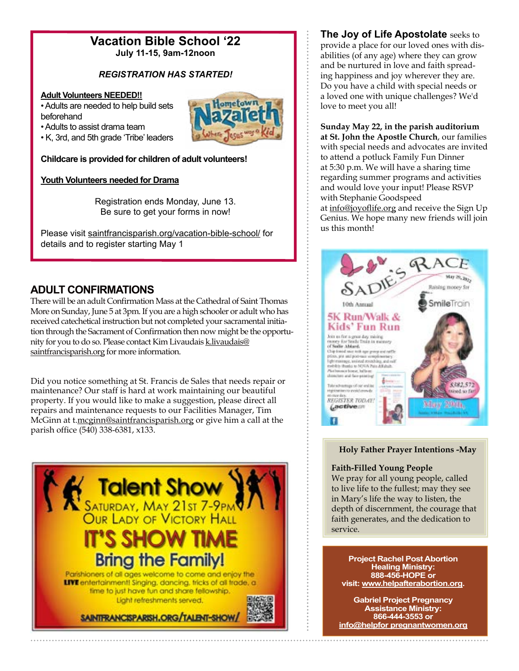# **Vacation Bible School '22**

**July 11-15, 9am-12noon**

### *REGISTRATION HAS STARTED!*

#### **Adult Volunteers NEEDED!!**

• Adults are needed to help build sets beforehand

• Adults to assist drama team

• K, 3rd, and 5th grade 'Tribe' leaders

**Childcare is provided for children of adult volunteers!**

#### **Youth Volunteers needed for Drama**

Registration ends Monday, June 13. Be sure to get your forms in now!

Please visit saintfrancisparish.org/vacation-bible-school/ for details and to register starting May 1

### **ADULT CONFIRMATIONS**

There will be an adult Confirmation Mass at the Cathedral of Saint Thomas More on Sunday, June 5 at 3pm. If you are a high schooler or adult who has received catechetical instruction but not completed your sacramental initiation through the Sacrament of Confirmation then now might be the opportunity for you to do so. Please contact Kim Livaudais k.livaudais@ saintfrancisparish.org for more information.

Did you notice something at St. Francis de Sales that needs repair or maintenance? Our staff is hard at work maintaining our beautiful property. If you would like to make a suggestion, please direct all repairs and maintenance requests to our Facilities Manager, Tim McGinn at t.mcginn@saintfrancisparish.org or give him a call at the parish office (540) 338-6381, x133.



**The Joy of Life Apostolate** seeks to provide a place for our loved ones with disabilities (of any age) where they can grow and be nurtured in love and faith spreading happiness and joy wherever they are. Do you have a child with special needs or a loved one with unique challenges? We'd love to meet you all!

**Sunday May 22, in the parish auditorium at St. John the Apostle Church**, our families with special needs and advocates are invited to attend a potluck Family Fun Dinner at 5:30 p.m. We will have a sharing time regarding summer programs and activities and would love your input! Please RSVP with Stephanie Goodspeed

at info@joyoflife.org and receive the Sign Up Genius. We hope many new friends will join us this month!



#### **Holy Father Prayer Intentions -May**

#### **Faith-Filled Young People**

We pray for all young people, called to live life to the fullest; may they see in Mary's life the way to listen, the depth of discernment, the courage that faith generates, and the dedication to service.

**Project Rachel Post Abortion Healing Ministry: 888-456-HOPE or visit: www.helpafterabortion.org.**

**Gabriel Project Pregnancy Assistance Ministry: 866-444-3553 or info@helpfor pregnantwomen.org**